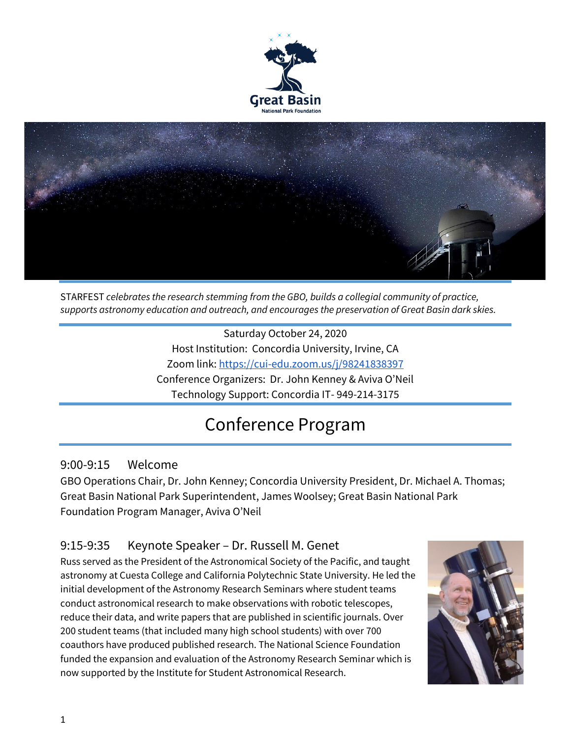



STARFEST *celebrates the research stemming from the GBO, builds a collegial community of practice, supports astronomy education and outreach, and encourages the preservation of Great Basin dark skies.*

Saturday October 24, 2020 Host Institution: Concordia University, Irvine, CA Zoom link:<https://cui-edu.zoom.us/j/98241838397> Conference Organizers: Dr. John Kenney & Aviva O'Neil Technology Support: Concordia IT- 949-214-3175

# Conference Program

### 9:00-9:15 Welcome

GBO Operations Chair, Dr. John Kenney; Concordia University President, Dr. Michael A. Thomas; Great Basin National Park Superintendent, James Woolsey; Great Basin National Park Foundation Program Manager, Aviva O'Neil

# 9:15-9:35 Keynote Speaker – Dr. Russell M. Genet

Russ served as the President of the Astronomical Society of the Pacific, and taught astronomy at Cuesta College and California Polytechnic State University. He led the initial development of the Astronomy Research Seminars where student teams conduct astronomical research to make observations with robotic telescopes, reduce their data, and write papers that are published in scientific journals. Over 200 student teams (that included many high school students) with over 700 coauthors have produced published research. The National Science Foundation funded the expansion and evaluation of the Astronomy Research Seminar which is now supported by the Institute for Student Astronomical Research.

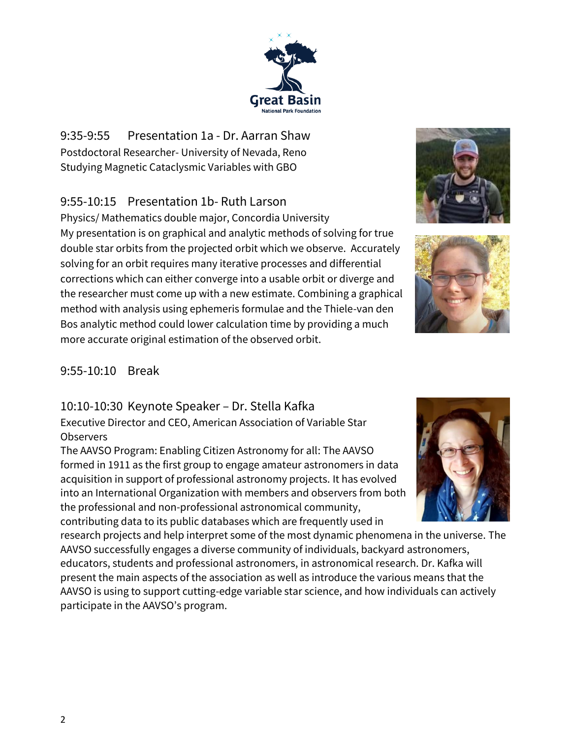9:35-9:55 Presentation 1a - Dr. Aarran Shaw Postdoctoral Researcher- University of Nevada, Reno Studying Magnetic Cataclysmic Variables with GBO

## 9:55-10:15 Presentation 1b- Ruth Larson

Physics/ Mathematics double major, Concordia University My presentation is on graphical and analytic methods of solving for true double star orbits from the projected orbit which we observe. Accurately solving for an orbit requires many iterative processes and differential corrections which can either converge into a usable orbit or diverge and the researcher must come up with a new estimate. Combining a graphical method with analysis using ephemeris formulae and the Thiele-van den Bos analytic method could lower calculation time by providing a much more accurate original estimation of the observed orbit.

#### 9:55-10:10 Break

#### 10:10-10:30 Keynote Speaker – Dr. Stella Kafka

Executive Director and CEO, American Association of Variable Star **Observers** 

The AAVSO Program: Enabling Citizen Astronomy for all: The AAVSO formed in 1911 as the first group to engage amateur astronomers in data acquisition in support of professional astronomy projects. It has evolved into an International Organization with members and observers from both the professional and non-professional astronomical community, contributing data to its public databases which are frequently used in

research projects and help interpret some of the most dynamic phenomena in the universe. The AAVSO successfully engages a diverse community of individuals, backyard astronomers, educators, students and professional astronomers, in astronomical research. Dr. Kafka will present the main aspects of the association as well as introduce the various means that the AAVSO is using to support cutting-edge variable star science, and how individuals can actively participate in the AAVSO's program.







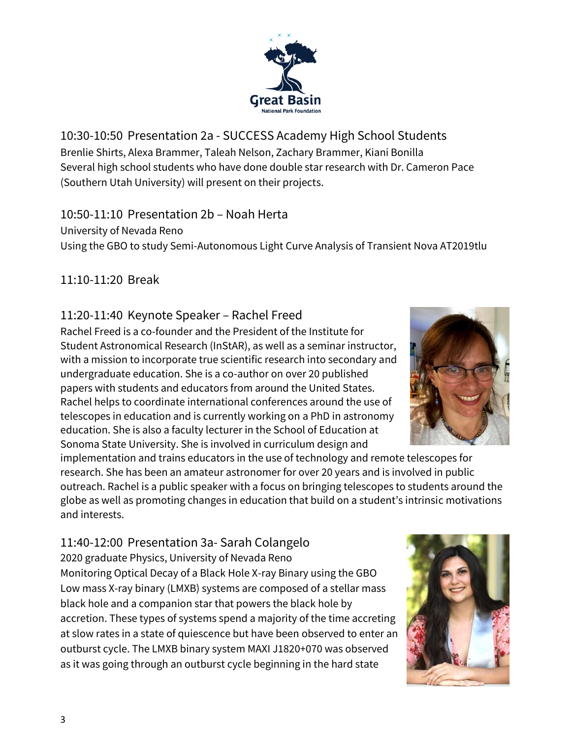10:30-10:50 Presentation 2a - SUCCESS Academy High School Students Brenlie Shirts, Alexa Brammer, Taleah Nelson, Zachary Brammer, Kiani Bonilla Several high school students who have done double star research with Dr. Cameron Pace (Southern Utah University) will present on their projects.

#### 10:50-11:10 Presentation 2b – Noah Herta

University of Nevada Reno

Using the GBO to study Semi-Autonomous Light Curve Analysis of Transient Nova AT2019tlu

## 11:10-11:20 Break

## 11:20-11:40 Keynote Speaker – Rachel Freed

Rachel Freed is a co-founder and the President of the Institute for Student Astronomical Research (InStAR), as well as a seminar instructor, with a mission to incorporate true scientific research into secondary and undergraduate education. She is a co-author on over 20 published papers with students and educators from around the United States. Rachel helps to coordinate international conferences around the use of telescopes in education and is currently working on a PhD in astronomy education. She is also a faculty lecturer in the School of Education at Sonoma State University. She is involved in curriculum design and

implementation and trains educators in the use of technology and remote telescopes for research. She has been an amateur astronomer for over 20 years and is involved in public outreach. Rachel is a public speaker with a focus on bringing telescopes to students around the globe as well as promoting changes in education that build on a student's intrinsic motivations and interests.

# 11:40-12:00 Presentation 3a- Sarah Colangelo

2020 graduate Physics, University of Nevada Reno Monitoring Optical Decay of a Black Hole X-ray Binary using the GBO Low mass X-ray binary (LMXB) systems are composed of a stellar mass black hole and a companion star that powers the black hole by accretion. These types of systems spend a majority of the time accreting at slow rates in a state of quiescence but have been observed to enter an outburst cycle. The LMXB binary system MAXI J1820+070 was observed as it was going through an outburst cycle beginning in the hard state





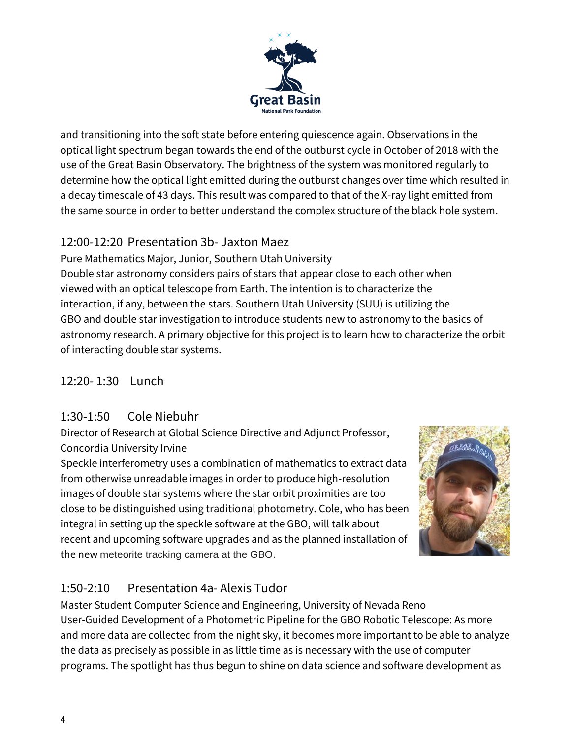

and transitioning into the soft state before entering quiescence again. Observations in the optical light spectrum began towards the end of the outburst cycle in October of 2018 with the use of the Great Basin Observatory. The brightness of the system was monitored regularly to determine how the optical light emitted during the outburst changes over time which resulted in a decay timescale of 43 days. This result was compared to that of the X-ray light emitted from the same source in order to better understand the complex structure of the black hole system.

# 12:00-12:20 Presentation 3b- Jaxton Maez

Pure Mathematics Major, Junior, Southern Utah University Double star astronomy considers pairs of stars that appear close to each other when viewed with an optical telescope from Earth. The intention is to characterize the interaction, if any, between the stars. Southern Utah University (SUU) is utilizing the GBO and double star investigation to introduce students new to astronomy to the basics of astronomy research. A primary objective for this project is to learn how to characterize the orbit of interacting double star systems.

# 12:20- 1:30 Lunch

### 1:30-1:50 Cole Niebuhr

Director of Research at Global Science Directive and Adjunct Professor, Concordia University Irvine

Speckle interferometry uses a combination of mathematics to extract data from otherwise unreadable images in order to produce high-resolution images of double star systems where the star orbit proximities are too close to be distinguished using traditional photometry. Cole, who has been integral in setting up the speckle software at the GBO, will talk about recent and upcoming software upgrades and as the planned installation of the new meteorite tracking camera at the GBO.



# 1:50-2:10 Presentation 4a- Alexis Tudor

Master Student Computer Science and Engineering, University of Nevada Reno User-Guided Development of a Photometric Pipeline for the GBO Robotic Telescope: As more and more data are collected from the night sky, it becomes more important to be able to analyze the data as precisely as possible in as little time as is necessary with the use of computer programs. The spotlight has thus begun to shine on data science and software development as